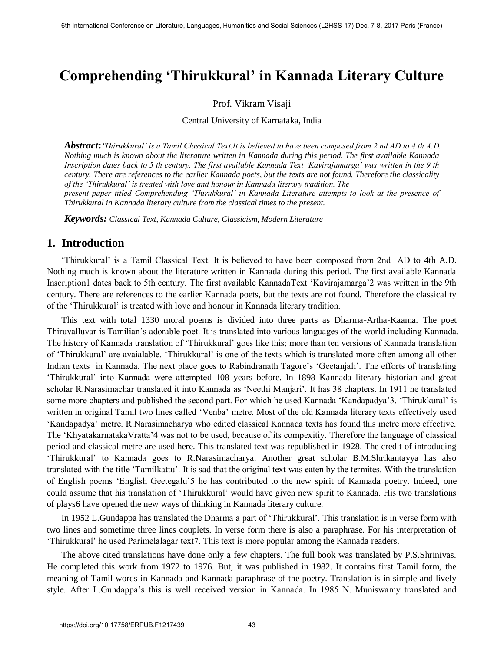## **Comprehending 'Thirukkural' in Kannada Literary Culture**

Prof. Vikram Visaji

Central University of Karnataka, India

*Abstract***:***'Thirukkural' is a Tamil Classical Text.It is believed to have been composed from 2 nd AD to 4 th A.D. Nothing much is known about the literature written in Kannada during this period. The first available Kannada Inscription dates back to 5 th century. The first available Kannada Text 'Kavirajamarga' was written in the 9 th century. There are references to the earlier Kannada poets, but the texts are not found. Therefore the classicality of the 'Thirukkural' is treated with love and honour in Kannada literary tradition. The present paper titled Comprehending 'Thirukkural' in Kannada Literature attempts to look at the presence of Thirukkural in Kannada literary culture from the classical times to the present.* 

*Keywords: Classical Text, Kannada Culture, Classicism, Modern Literature*

## **1. Introduction**

'Thirukkural' is a Tamil Classical Text. It is believed to have been composed from 2nd AD to 4th A.D. Nothing much is known about the literature written in Kannada during this period. The first available Kannada Inscription1 dates back to 5th century. The first available KannadaText 'Kavirajamarga'2 was written in the 9th century. There are references to the earlier Kannada poets, but the texts are not found. Therefore the classicality of the 'Thirukkural' is treated with love and honour in Kannada literary tradition.

This text with total 1330 moral poems is divided into three parts as Dharma-Artha-Kaama. The poet Thiruvalluvar is Tamilian's adorable poet. It is translated into various languages of the world including Kannada. The history of Kannada translation of 'Thirukkural' goes like this; more than ten versions of Kannada translation of 'Thirukkural' are avaialable. 'Thirukkural' is one of the texts which is translated more often among all other Indian texts in Kannada. The next place goes to Rabindranath Tagore's 'Geetanjali'. The efforts of translating 'Thirukkural' into Kannada were attempted 108 years before. In 1898 Kannada literary historian and great scholar R.Narasimachar translated it into Kannada as 'Neethi Manjari'. It has 38 chapters. In 1911 he translated some more chapters and published the second part. For which he used Kannada 'Kandapadya'3. 'Thirukkural' is written in original Tamil two lines called 'Venba' metre. Most of the old Kannada literary texts effectively used 'Kandapadya' metre. R.Narasimacharya who edited classical Kannada texts has found this metre more effective. The 'KhyatakarnatakaVratta'4 was not to be used, because of its compexitiy. Therefore the language of classical period and classical metre are used here. This translated text was republished in 1928. The credit of introducing 'Thirukkural' to Kannada goes to R.Narasimacharya. Another great scholar B.M.Shrikantayya has also translated with the title 'Tamilkattu'. It is sad that the original text was eaten by the termites. With the translation of English poems 'English Geetegalu'5 he has contributed to the new spirit of Kannada poetry. Indeed, one could assume that his translation of 'Thirukkural' would have given new spirit to Kannada. His two translations of plays6 have opened the new ways of thinking in Kannada literary culture.

In 1952 L.Gundappa has translated the Dharma a part of 'Thirukkural'. This translation is in verse form with two lines and sometime three lines couplets. In verse form there is also a paraphrase. For his interpretation of 'Thirukkural' he used Parimelalagar text7. This text is more popular among the Kannada readers.

The above cited translations have done only a few chapters. The full book was translated by P.S.Shrinivas. He completed this work from 1972 to 1976. But, it was published in 1982. It contains first Tamil form, the meaning of Tamil words in Kannada and Kannada paraphrase of the poetry. Translation is in simple and lively style. After L.Gundappa's this is well received version in Kannada. In 1985 N. Muniswamy translated and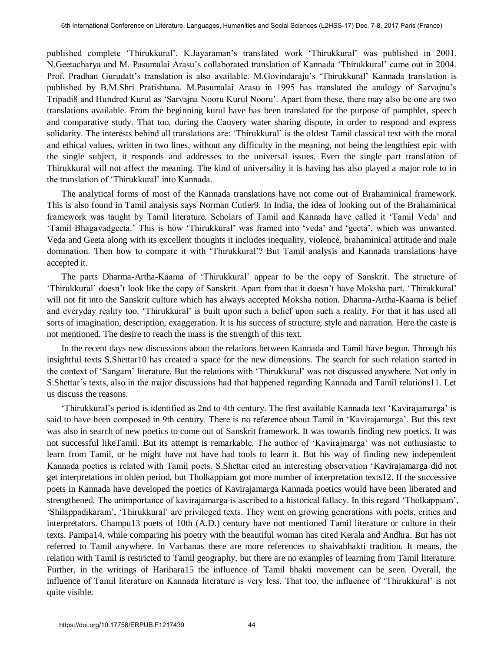published complete 'Thirukkural'. K.Jayaraman's translated work 'Thirukkural' was published in 2001. N.Geetacharya and M. Pasumalai Arasu's collaborated translation of Kannada 'Thirukkural' came out in 2004. Prof. Pradhan Gurudatt's translation is also available. M.Govindaraju's 'Thirukkural' Kannada translation is published by B.M.Shri Pratishtana. M.Pasumalai Arasu in 1995 has translated the analogy of Sarvajna's Tripadi8 and Hundred Kurul as 'Sarvajna Nooru Kurul Nooru'. Apart from these, there may also be one are two translations available. From the beginning kurul have has been translated for the purpose of pamphlet, speech and comparative study. That too, during the Cauvery water sharing dispute, in order to respond and express solidarity. The interests behind all translations are: 'Thirukkural' is the oldest Tamil classical text with the moral and ethical values, written in two lines, without any difficulty in the meaning, not being the lengthiest epic with the single subject, it responds and addresses to the universal issues. Even the single part translation of Thirukkural will not affect the meaning. The kind of universality it is having has also played a major role to in the translation of 'Thirukkural' into Kannada.

The analytical forms of most of the Kannada translations have not come out of Brahaminical framework. This is also found in Tamil analysis says Norman Cutler9. In India, the idea of looking out of the Brahaminical framework was taught by Tamil literature. Scholars of Tamil and Kannada have called it 'Tamil Veda' and 'Tamil Bhagavadgeeta.' This is how 'Thirukkural' was framed into 'veda' and 'geeta', which was unwanted. Veda and Geeta along with its excellent thoughts it includes inequality, violence, brahaminical attitude and male domination. Then how to compare it with 'Thirukkural'? But Tamil analysis and Kannada translations have accepted it.

The parts Dharma-Artha-Kaama of 'Thirukkural' appear to be the copy of Sanskrit. The structure of 'Thirukkural' doesn't look like the copy of Sanskrit. Apart from that it doesn't have Moksha part. 'Thirukkural' will not fit into the Sanskrit culture which has always accepted Moksha notion. Dharma-Artha-Kaama is belief and everyday reality too. 'Thirukkural' is built upon such a belief upon such a reality. For that it has used all sorts of imagination, description, exaggeration. It is his success of structure, style and narration. Here the caste is not mentioned. The desire to reach the mass is the strength of this text.

In the recent days new discussions about the relations between Kannada and Tamil have begun. Through his insightful texts S.Shettar10 has created a space for the new dimensions. The search for such relation started in the context of 'Sangam' literature. But the relations with 'Thirukkural' was not discussed anywhere. Not only in S.Shettar's texts, also in the major discussions had that happened regarding Kannada and Tamil relations11. Let us discuss the reasons.

'Thirukkural's period is identified as 2nd to 4th century. The first available Kannada text 'Kavirajamarga' is said to have been composed in 9th century. There is no reference about Tamil in 'Kavirajamarga'. But this text was also in search of new poetics to come out of Sanskrit framework. It was towards finding new poetics. It was not successful likeTamil. But its attempt is remarkable. The author of 'Kavirajmarga' was not enthusiastic to learn from Tamil, or he might have not have had tools to learn it. But his way of finding new independent Kannada poetics is related with Tamil poets. S.Shettar cited an interesting observation 'Kavirajamarga did not get interpretations in olden period, but Tholkappiam got more number of interpretation texts12. If the successive poets in Kannada have developed the poetics of Kavirajamarga Kannada poetics would have been liberated and strengthened. The unimportance of kavirajamarga is ascribed to a historical fallacy. In this regard 'Tholkappiam', 'Shilappadikaram', 'Thirukkural' are privileged texts. They went on growing generations with poets, critics and interpretators. Champu13 poets of 10th (A.D.) century have not mentioned Tamil literature or culture in their texts. Pampa14, while comparing his poetry with the beautiful woman has cited Kerala and Andhra. But has not referred to Tamil anywhere. In Vachanas there are more references to shaivabhakti tradition. It means, the relation with Tamil is restricted to Tamil geography, but there are no examples of learning from Tamil literature. Further, in the writings of Harihara15 the influence of Tamil bhakti movement can be seen. Overall, the influence of Tamil literature on Kannada literature is very less. That too, the influence of 'Thirukkural' is not quite visible.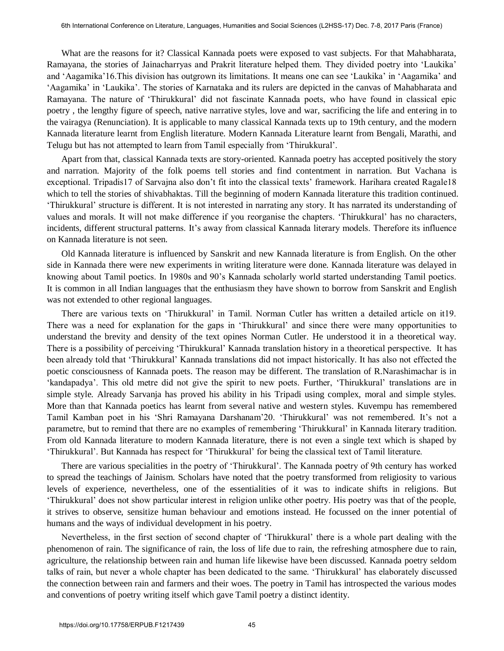What are the reasons for it? Classical Kannada poets were exposed to vast subjects. For that Mahabharata, Ramayana, the stories of Jainacharryas and Prakrit literature helped them. They divided poetry into 'Laukika' and 'Aagamika'16.This division has outgrown its limitations. It means one can see 'Laukika' in 'Aagamika' and 'Aagamika' in 'Laukika'. The stories of Karnataka and its rulers are depicted in the canvas of Mahabharata and Ramayana. The nature of 'Thirukkural' did not fascinate Kannada poets, who have found in classical epic poetry , the lengthy figure of speech, native narrative styles, love and war, sacrificing the life and entering in to the vairagya (Renunciation). It is applicable to many classical Kannada texts up to 19th century, and the modern Kannada literature learnt from English literature. Modern Kannada Literature learnt from Bengali, Marathi, and Telugu but has not attempted to learn from Tamil especially from 'Thirukkural'.

Apart from that, classical Kannada texts are story-oriented. Kannada poetry has accepted positively the story and narration. Majority of the folk poems tell stories and find contentment in narration. But Vachana is exceptional. Tripadis17 of Sarvajna also don't fit into the classical texts' framework. Harihara created Ragale18 which to tell the stories of shivabhaktas. Till the beginning of modern Kannada literature this tradition continued. 'Thirukkural' structure is different. It is not interested in narrating any story. It has narrated its understanding of values and morals. It will not make difference if you reorganise the chapters. 'Thirukkural' has no characters, incidents, different structural patterns. It's away from classical Kannada literary models. Therefore its influence on Kannada literature is not seen.

Old Kannada literature is influenced by Sanskrit and new Kannada literature is from English. On the other side in Kannada there were new experiments in writing literature were done. Kannada literature was delayed in knowing about Tamil poetics. In 1980s and 90's Kannada scholarly world started understanding Tamil poetics. It is common in all Indian languages that the enthusiasm they have shown to borrow from Sanskrit and English was not extended to other regional languages.

There are various texts on 'Thirukkural' in Tamil. Norman Cutler has written a detailed article on it19. There was a need for explanation for the gaps in 'Thirukkural' and since there were many opportunities to understand the brevity and density of the text opines Norman Cutler. He understood it in a theoretical way. There is a possibility of perceiving 'Thirukkural' Kannada translation history in a theoretical perspective. It has been already told that 'Thirukkural' Kannada translations did not impact historically. It has also not effected the poetic consciousness of Kannada poets. The reason may be different. The translation of R.Narashimachar is in 'kandapadya'. This old metre did not give the spirit to new poets. Further, 'Thirukkural' translations are in simple style. Already Sarvanja has proved his ability in his Tripadi using complex, moral and simple styles. More than that Kannada poetics has learnt from several native and western styles. Kuvempu has remembered Tamil Kamban poet in his 'Shri Ramayana Darshanam'20. 'Thirukkural' was not remembered. It's not a parametre, but to remind that there are no examples of remembering 'Thirukkural' in Kannada literary tradition. From old Kannada literature to modern Kannada literature, there is not even a single text which is shaped by 'Thirukkural'. But Kannada has respect for 'Thirukkural' for being the classical text of Tamil literature.

There are various specialities in the poetry of 'Thirukkural'. The Kannada poetry of 9th century has worked to spread the teachings of Jainism. Scholars have noted that the poetry transformed from religiosity to various levels of experience, nevertheless, one of the essentialities of it was to indicate shifts in religions. But 'Thirukkural' does not show particular interest in religion unlike other poetry. His poetry was that of the people, it strives to observe, sensitize human behaviour and emotions instead. He focussed on the inner potential of humans and the ways of individual development in his poetry.

Nevertheless, in the first section of second chapter of 'Thirukkural' there is a whole part dealing with the phenomenon of rain. The significance of rain, the loss of life due to rain, the refreshing atmosphere due to rain, agriculture, the relationship between rain and human life likewise have been discussed. Kannada poetry seldom talks of rain, but never a whole chapter has been dedicated to the same. 'Thirukkural' has elaborately discussed the connection between rain and farmers and their woes. The poetry in Tamil has introspected the various modes and conventions of poetry writing itself which gave Tamil poetry a distinct identity.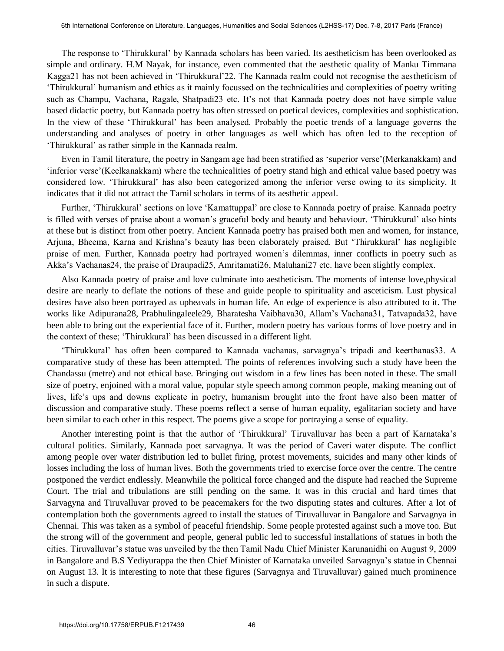The response to 'Thirukkural' by Kannada scholars has been varied. Its aestheticism has been overlooked as simple and ordinary. H.M Nayak, for instance, even commented that the aesthetic quality of Manku Timmana Kagga21 has not been achieved in 'Thirukkural'22. The Kannada realm could not recognise the aestheticism of 'Thirukkural' humanism and ethics as it mainly focussed on the technicalities and complexities of poetry writing such as Champu, Vachana, Ragale, Shatpadi23 etc. It's not that Kannada poetry does not have simple value based didactic poetry, but Kannada poetry has often stressed on poetical devices, complexities and sophistication. In the view of these 'Thirukkural' has been analysed. Probably the poetic trends of a language governs the understanding and analyses of poetry in other languages as well which has often led to the reception of 'Thirukkural' as rather simple in the Kannada realm.

Even in Tamil literature, the poetry in Sangam age had been stratified as 'superior verse'(Merkanakkam) and 'inferior verse'(Keelkanakkam) where the technicalities of poetry stand high and ethical value based poetry was considered low. 'Thirukkural' has also been categorized among the inferior verse owing to its simplicity. It indicates that it did not attract the Tamil scholars in terms of its aesthetic appeal.

Further, 'Thirukkural' sections on love 'Kamattuppal' are close to Kannada poetry of praise. Kannada poetry is filled with verses of praise about a woman's graceful body and beauty and behaviour. 'Thirukkural' also hints at these but is distinct from other poetry. Ancient Kannada poetry has praised both men and women, for instance, Arjuna, Bheema, Karna and Krishna's beauty has been elaborately praised. But 'Thirukkural' has negligible praise of men. Further, Kannada poetry had portrayed women's dilemmas, inner conflicts in poetry such as Akka's Vachanas24, the praise of Draupadi25, Amritamati26, Maluhani27 etc. have been slightly complex.

Also Kannada poetry of praise and love culminate into aestheticism. The moments of intense love,physical desire are nearly to deflate the notions of these and guide people to spirituality and asceticism. Lust physical desires have also been portrayed as upheavals in human life. An edge of experience is also attributed to it. The works like Adipurana28, Prabhulingaleele29, Bharatesha Vaibhava30, Allam's Vachana31, Tatvapada32, have been able to bring out the experiential face of it. Further, modern poetry has various forms of love poetry and in the context of these; 'Thirukkural' has been discussed in a different light.

'Thirukkural' has often been compared to Kannada vachanas, sarvagnya's tripadi and keerthanas33. A comparative study of these has been attempted. The points of references involving such a study have been the Chandassu (metre) and not ethical base. Bringing out wisdom in a few lines has been noted in these. The small size of poetry, enjoined with a moral value, popular style speech among common people, making meaning out of lives, life's ups and downs explicate in poetry, humanism brought into the front have also been matter of discussion and comparative study. These poems reflect a sense of human equality, egalitarian society and have been similar to each other in this respect. The poems give a scope for portraying a sense of equality.

Another interesting point is that the author of 'Thirukkural' Tiruvalluvar has been a part of Karnataka's cultural politics. Similarly, Kannada poet sarvagnya. It was the period of Caveri water dispute. The conflict among people over water distribution led to bullet firing, protest movements, suicides and many other kinds of losses including the loss of human lives. Both the governments tried to exercise force over the centre. The centre postponed the verdict endlessly. Meanwhile the political force changed and the dispute had reached the Supreme Court. The trial and tribulations are still pending on the same. It was in this crucial and hard times that Sarvagyna and Tiruvalluvar proved to be peacemakers for the two disputing states and cultures. After a lot of contemplation both the governments agreed to install the statues of Tiruvalluvar in Bangalore and Sarvagnya in Chennai. This was taken as a symbol of peaceful friendship. Some people protested against such a move too. But the strong will of the government and people, general public led to successful installations of statues in both the cities. Tiruvalluvar's statue was unveiled by the then Tamil Nadu Chief Minister Karunanidhi on August 9, 2009 in Bangalore and B.S Yediyurappa the then Chief Minister of Karnataka unveiled Sarvagnya's statue in Chennai on August 13. It is interesting to note that these figures (Sarvagnya and Tiruvalluvar) gained much prominence in such a dispute.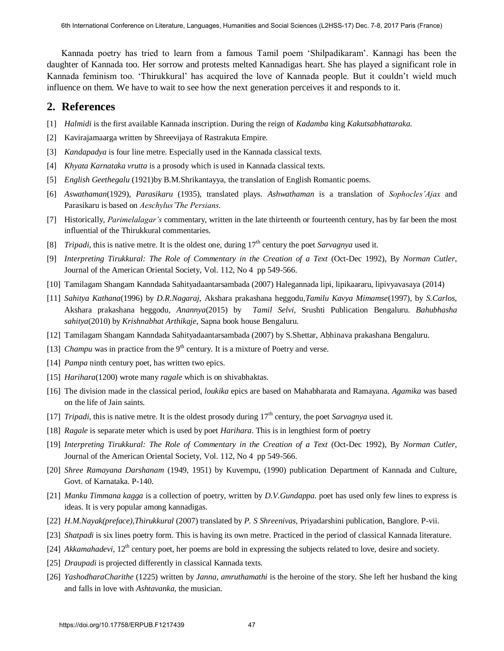Kannada poetry has tried to learn from a famous Tamil poem 'Shilpadikaram'. Kannagi has been the daughter of Kannada too. Her sorrow and protests melted Kannadigas heart. She has played a significant role in Kannada feminism too. 'Thirukkural' has acquired the love of Kannada people. But it couldn't wield much influence on them. We have to wait to see how the next generation perceives it and responds to it.

## **2. References**

- [1] *Halmidi* is the first available Kannada inscription. During the reign of *Kadamba* king *Kakutsabhattaraka*.
- [2] Kavirajamaarga written by Shreevijaya of Rastrakuta Empire.
- [3] *Kandapadya* is four line metre. Especially used in the Kannada classical texts.
- [4] *Khyata Karnataka vrutta* is a prosody which is used in Kannada classical texts.
- [5] *English Geethegalu* (1921)by B.M.Shrikantayya, the translation of English Romantic poems.
- [6] *Aswathaman*(1929), *Parasikaru* (1935), translated plays. *Ashwathaman* is a translation of *Sophocles'Ajax* and Parasikaru is based on *Aeschylus'The Persians*.
- [7] Historically, *Parimelalagar's* commentary, written in the late thirteenth or fourteenth century, has by far been the most influential of the Thirukkural commentaries.
- [8] *Tripadi*, this is native metre. It is the oldest one, during 17<sup>th</sup> century the poet *Sarvagnya* used it.
- [9] *Interpreting Tirukkural: The Role of Commentary in the Creation of a Text (Oct-Dec 1992), By Norman Cutler,* Journal of the American Oriental Society, Vol. 112, No 4 pp 549-566.
- [10] Tamilagam Shangam Kanndada Sahityadaantarsambada (2007) Halegannada lipi, lipikaararu, lipivyavasaya (2014)
- [11] *Sahitya Kathana*(1996) by *D.R.Nagaraj,* Akshara prakashana heggodu,*Tamilu Kavya Mimamse*(1997), by *S.Carlos*, Akshara prakashana heggodu, *Anannya*(2015) by *Tamil Selvi,* Srushti Publication Bengaluru. *Bahubhasha sahitya*(2010) by *Krishnabhat Arthikaje*, Sapna book house Bengaluru.
- [12] Tamilagam Shangam Kanndada Sahityadaantarsambada (2007) by S.Shettar, Abhinava prakashana Bengaluru.
- [13] *Champu* was in practice from the  $9<sup>th</sup>$  century. It is a mixture of Poetry and verse.
- [14] *Pampa* ninth century poet, has written two epics.
- [15] *Harihara*(1200) wrote many *ragale* which is on shivabhaktas.
- [16] The division made in the classical period, *loukika* epics are based on Mahabharata and Ramayana. *Agamika* was based on the life of Jain saints.
- [17] *Tripadi*, this is native metre. It is the oldest prosody during  $17<sup>th</sup>$  century, the poet *Sarvagnya* used it.
- [18] *Ragale* is separate meter which is used by poet *Harihara*. This is in lengthiest form of poetry
- [19] *Interpreting Tirukkural: The Role of Commentary in the Creation of a Text* (Oct-Dec 1992), By *Norman Cutler*, Journal of the American Oriental Society, Vol. 112, No 4 pp 549-566.
- [20] *Shree Ramayana Darshanam* (1949, 1951) by Kuvempu, (1990) publication Department of Kannada and Culture, Govt. of Karnataka. P-140.
- [21] *Manku Timmana kagga* is a collection of poetry, written by *D.V.Gundappa.* poet has used only few lines to express is ideas. It is very popular among kannadigas.
- [22] *H.M.Nayak(preface),Thirukkural* (2007) translated by *P. S Shreenivas*, Priyadarshini publication, Banglore. P-vii.
- [23] *Shatpadi* is six lines poetry form. This is having its own metre. Practiced in the period of classical Kannada literature.
- [24] *Akkamahadevi*, 12<sup>th</sup> century poet, her poems are bold in expressing the subjects related to love, desire and society.
- [25] *Draupadi* is projected differently in classical Kannada texts.
- [26] *YashodharaCharithe* (1225) written by *Janna, amruthamathi* is the heroine of the story. She left her husband the king and falls in love with *Ashtavanka*, the musician.